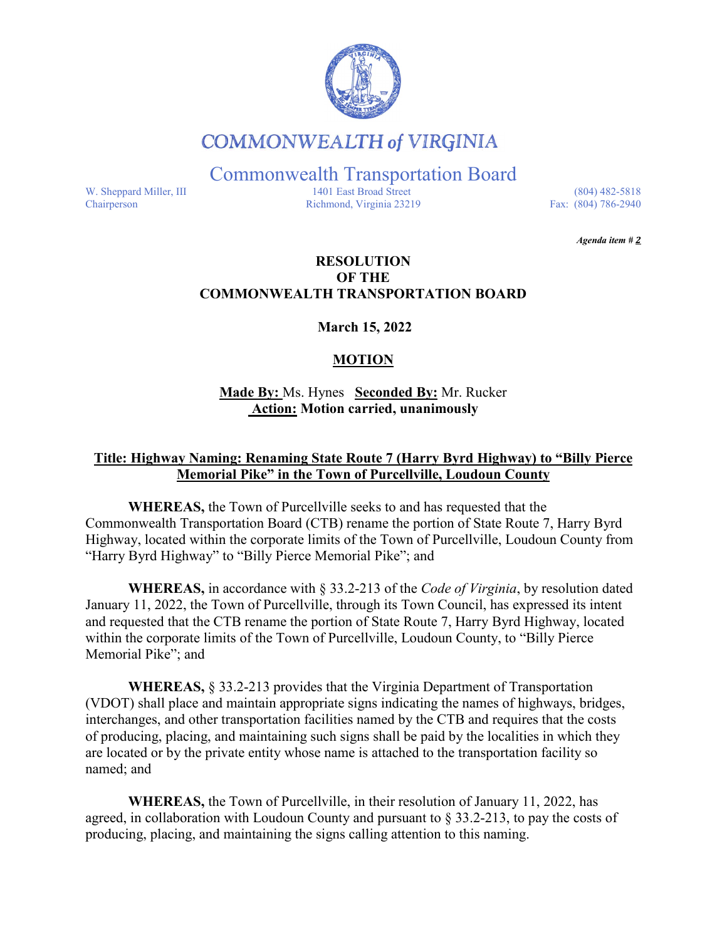

# **COMMONWEALTH of VIRGINIA**

Commonwealth Transportation Board

W. Sheppard Miller, III 1401 East Broad Street (804) 482-5818<br>Chairperson Richmond, Virginia 23219 Fax: (804) 786-2940 Richmond, Virginia 23219

*Agenda item # 2* 

### **RESOLUTION OF THE COMMONWEALTH TRANSPORTATION BOARD**

**March 15, 2022**

## **MOTION**

**Made By:** Ms. Hynes **Seconded By:** Mr. Rucker **Action: Motion carried, unanimously**

#### **Title: Highway Naming: Renaming State Route 7 (Harry Byrd Highway) to "Billy Pierce Memorial Pike" in the Town of Purcellville, Loudoun County**

**WHEREAS,** the Town of Purcellville seeks to and has requested that the Commonwealth Transportation Board (CTB) rename the portion of State Route 7, Harry Byrd Highway, located within the corporate limits of the Town of Purcellville, Loudoun County from "Harry Byrd Highway" to "Billy Pierce Memorial Pike"; and

**WHEREAS,** in accordance with § 33.2-213 of the *Code of Virginia*, by resolution dated January 11, 2022, the Town of Purcellville, through its Town Council, has expressed its intent and requested that the CTB rename the portion of State Route 7, Harry Byrd Highway, located within the corporate limits of the Town of Purcellville, Loudoun County, to "Billy Pierce Memorial Pike"; and

**WHEREAS,** § 33.2-213 provides that the Virginia Department of Transportation (VDOT) shall place and maintain appropriate signs indicating the names of highways, bridges, interchanges, and other transportation facilities named by the CTB and requires that the costs of producing, placing, and maintaining such signs shall be paid by the localities in which they are located or by the private entity whose name is attached to the transportation facility so named; and

**WHEREAS,** the Town of Purcellville, in their resolution of January 11, 2022, has agreed, in collaboration with Loudoun County and pursuant to  $\S 33.2-213$ , to pay the costs of producing, placing, and maintaining the signs calling attention to this naming.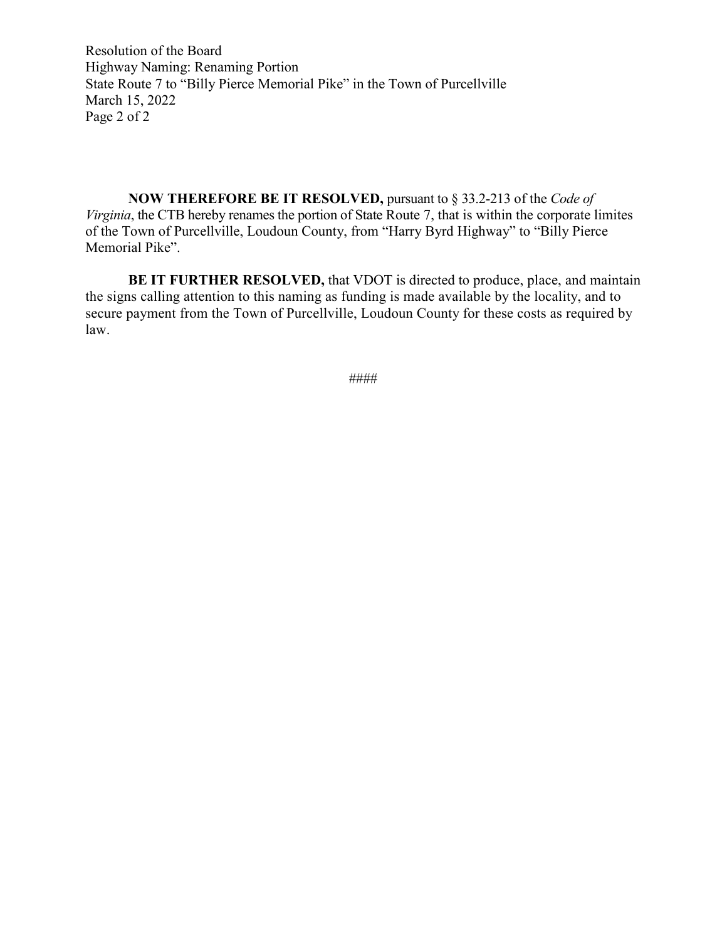Resolution of the Board Highway Naming: Renaming Portion State Route 7 to "Billy Pierce Memorial Pike" in the Town of Purcellville March 15, 2022 Page 2 of 2

**NOW THEREFORE BE IT RESOLVED,** pursuant to § 33.2-213 of the *Code of Virginia*, the CTB hereby renames the portion of State Route 7, that is within the corporate limites of the Town of Purcellville, Loudoun County, from "Harry Byrd Highway" to "Billy Pierce Memorial Pike".

**BE IT FURTHER RESOLVED,** that VDOT is directed to produce, place, and maintain the signs calling attention to this naming as funding is made available by the locality, and to secure payment from the Town of Purcellville, Loudoun County for these costs as required by law.

####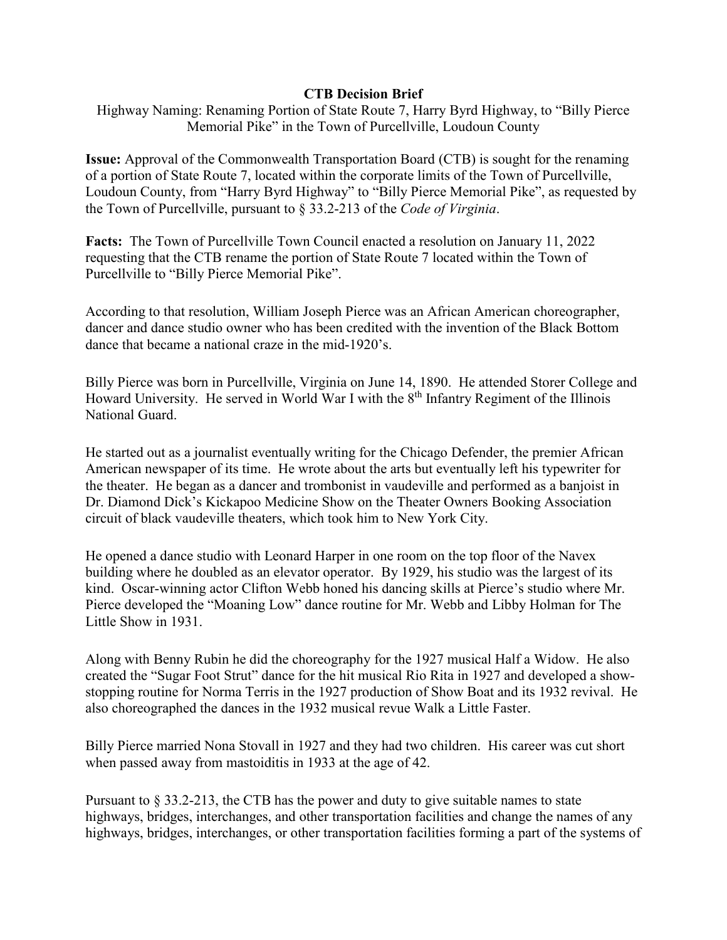#### **CTB Decision Brief**

Highway Naming: Renaming Portion of State Route 7, Harry Byrd Highway, to "Billy Pierce Memorial Pike" in the Town of Purcellville, Loudoun County

**Issue:** Approval of the Commonwealth Transportation Board (CTB) is sought for the renaming of a portion of State Route 7, located within the corporate limits of the Town of Purcellville, Loudoun County, from "Harry Byrd Highway" to "Billy Pierce Memorial Pike", as requested by the Town of Purcellville, pursuant to § 33.2-213 of the *Code of Virginia*.

**Facts:** The Town of Purcellville Town Council enacted a resolution on January 11, 2022 requesting that the CTB rename the portion of State Route 7 located within the Town of Purcellville to "Billy Pierce Memorial Pike".

According to that resolution, William Joseph Pierce was an African American choreographer, dancer and dance studio owner who has been credited with the invention of the Black Bottom dance that became a national craze in the mid-1920's.

Billy Pierce was born in Purcellville, Virginia on June 14, 1890. He attended Storer College and Howard University. He served in World War I with the 8<sup>th</sup> Infantry Regiment of the Illinois National Guard.

He started out as a journalist eventually writing for the Chicago Defender, the premier African American newspaper of its time. He wrote about the arts but eventually left his typewriter for the theater. He began as a dancer and trombonist in vaudeville and performed as a banjoist in Dr. Diamond Dick's Kickapoo Medicine Show on the Theater Owners Booking Association circuit of black vaudeville theaters, which took him to New York City.

He opened a dance studio with Leonard Harper in one room on the top floor of the Navex building where he doubled as an elevator operator. By 1929, his studio was the largest of its kind. Oscar-winning actor Clifton Webb honed his dancing skills at Pierce's studio where Mr. Pierce developed the "Moaning Low" dance routine for Mr. Webb and Libby Holman for The Little Show in 1931.

Along with Benny Rubin he did the choreography for the 1927 musical Half a Widow. He also created the "Sugar Foot Strut" dance for the hit musical Rio Rita in 1927 and developed a showstopping routine for Norma Terris in the 1927 production of Show Boat and its 1932 revival. He also choreographed the dances in the 1932 musical revue Walk a Little Faster.

Billy Pierce married Nona Stovall in 1927 and they had two children. His career was cut short when passed away from mastoiditis in 1933 at the age of 42.

Pursuant to § 33.2-213, the CTB has the power and duty to give suitable names to state highways, bridges, interchanges, and other transportation facilities and change the names of any highways, bridges, interchanges, or other transportation facilities forming a part of the systems of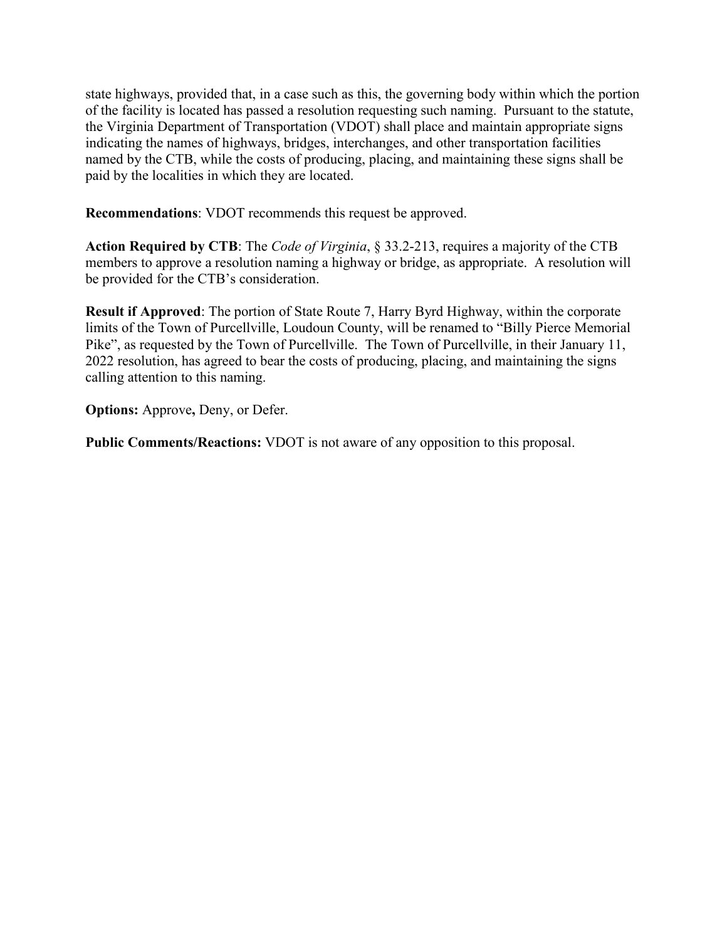state highways, provided that, in a case such as this, the governing body within which the portion of the facility is located has passed a resolution requesting such naming. Pursuant to the statute, the Virginia Department of Transportation (VDOT) shall place and maintain appropriate signs indicating the names of highways, bridges, interchanges, and other transportation facilities named by the CTB, while the costs of producing, placing, and maintaining these signs shall be paid by the localities in which they are located.

**Recommendations**: VDOT recommends this request be approved.

**Action Required by CTB**: The *Code of Virginia*, § 33.2-213, requires a majority of the CTB members to approve a resolution naming a highway or bridge, as appropriate. A resolution will be provided for the CTB's consideration.

**Result if Approved**: The portion of State Route 7, Harry Byrd Highway, within the corporate limits of the Town of Purcellville, Loudoun County, will be renamed to "Billy Pierce Memorial Pike", as requested by the Town of Purcellville. The Town of Purcellville, in their January 11, 2022 resolution, has agreed to bear the costs of producing, placing, and maintaining the signs calling attention to this naming.

**Options:** Approve**,** Deny, or Defer.

**Public Comments/Reactions:** VDOT is not aware of any opposition to this proposal.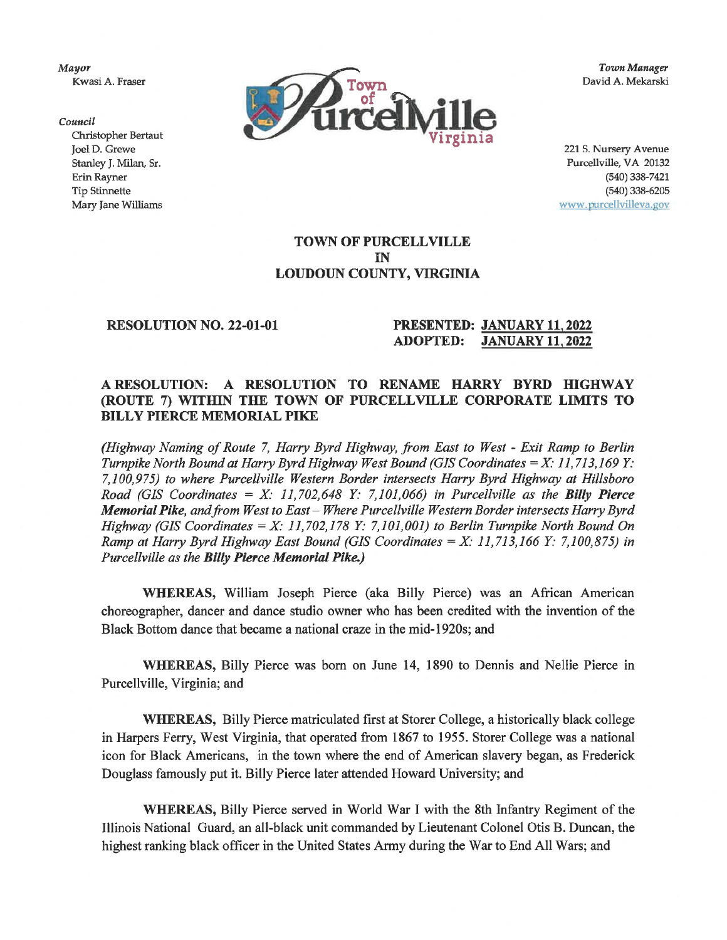Mayor Kwasi A. Fraser



**Town Manager** David A. Mekarski

Council Christopher Bertaut Joel D. Grewe Stanley J. Milan, Sr. Erin Rayner **Tip Stinnette** Mary Jane Williams

221 S. Nursery Avenue Purcellville, VA 20132  $(540)$  338-7421  $(540)$  338-6205 www.purcellvilleva.gov

**TOWN OF PURCELLVILLE IN** LOUDOUN COUNTY, VIRGINIA

#### **RESOLUTION NO. 22-01-01**

#### PRESENTED: JANUARY 11, 2022 **JANUARY 11, 2022 ADOPTED:**

#### A RESOLUTION: A RESOLUTION TO RENAME HARRY BYRD HIGHWAY (ROUTE 7) WITHIN THE TOWN OF PURCELLVILLE CORPORATE LIMITS TO **BILLY PIERCE MEMORIAL PIKE**

(Highway Naming of Route 7, Harry Byrd Highway, from East to West - Exit Ramp to Berlin Turnpike North Bound at Harry Byrd Highway West Bound (GIS Coordinates  $=X: 11,713,169$  Y: 7.100.975) to where Purcellville Western Border intersects Harry Byrd Highway at Hillsboro Road (GIS Coordinates =  $X: 11,702,648$  Y: 7,101,066) in Purcellville as the Billy Pierce Memorial Pike, and from West to East - Where Purcellville Western Border intersects Harry Byrd Highway (GIS Coordinates = X: 11,702,178 Y: 7,101,001) to Berlin Turnpike North Bound On Ramp at Harry Byrd Highway East Bound (GIS Coordinates = X: 11,713,166 Y: 7,100,875) in Purcellville as the Billy Pierce Memorial Pike.)

WHEREAS, William Joseph Pierce (aka Billy Pierce) was an African American choreographer, dancer and dance studio owner who has been credited with the invention of the Black Bottom dance that became a national craze in the mid-1920s; and

WHEREAS, Billy Pierce was born on June 14, 1890 to Dennis and Nellie Pierce in Purcellville, Virginia; and

**WHEREAS, Billy Pierce matriculated first at Storer College, a historically black college** in Harpers Ferry, West Virginia, that operated from 1867 to 1955. Storer College was a national icon for Black Americans, in the town where the end of American slavery began, as Frederick Douglass famously put it. Billy Pierce later attended Howard University; and

WHEREAS, Billy Pierce served in World War I with the 8th Infantry Regiment of the Illinois National Guard, an all-black unit commanded by Lieutenant Colonel Otis B. Duncan, the highest ranking black officer in the United States Army during the War to End All Wars; and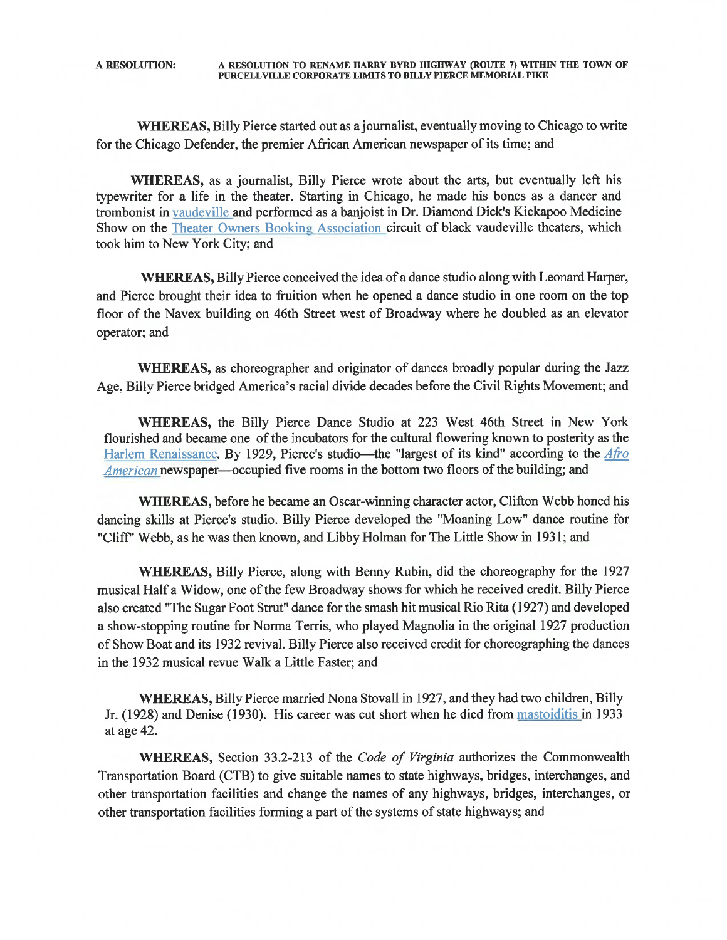WHEREAS, Billy Pierce started out as a journalist, eventually moving to Chicago to write for the Chicago Defender, the premier African American newspaper of its time; and

WHEREAS, as a journalist, Billy Pierce wrote about the arts, but eventually left his typewriter for a life in the theater. Starting in Chicago, he made his bones as a dancer and trombonist in vaudeville and performed as a banjoist in Dr. Diamond Dick's Kickapoo Medicine Show on the Theater Owners Booking Association circuit of black vaudeville theaters, which took him to New York City; and

WHEREAS, Billy Pierce conceived the idea of a dance studio along with Leonard Harper, and Pierce brought their idea to fruition when he opened a dance studio in one room on the top floor of the Navex building on 46th Street west of Broadway where he doubled as an elevator operator; and

WHEREAS, as choreographer and originator of dances broadly popular during the Jazz Age, Billy Pierce bridged America's racial divide decades before the Civil Rights Movement; and

WHEREAS, the Billy Pierce Dance Studio at 223 West 46th Street in New York flourished and became one of the incubators for the cultural flowering known to posterity as the Harlem Renaissance. By 1929, Pierce's studio—the "largest of its kind" according to the Afro American newspaper—occupied five rooms in the bottom two floors of the building; and

WHEREAS, before he became an Oscar-winning character actor, Clifton Webb honed his dancing skills at Pierce's studio. Billy Pierce developed the "Moaning Low" dance routine for "Cliff" Webb, as he was then known, and Libby Holman for The Little Show in 1931; and

**WHEREAS,** Billy Pierce, along with Benny Rubin, did the choreography for the 1927 musical Half a Widow, one of the few Broadway shows for which he received credit. Billy Pierce also created "The Sugar Foot Strut" dance for the smash hit musical Rio Rita (1927) and developed a show-stopping routine for Norma Terris, who played Magnolia in the original 1927 production of Show Boat and its 1932 revival. Billy Pierce also received credit for choreographing the dances in the 1932 musical revue Walk a Little Faster; and

WHEREAS, Billy Pierce married Nona Stovall in 1927, and they had two children, Billy Jr. (1928) and Denise (1930). His career was cut short when he died from mastorialitis in 1933 at age 42.

WHEREAS, Section 33.2-213 of the Code of Virginia authorizes the Commonwealth Transportation Board (CTB) to give suitable names to state highways, bridges, interchanges, and other transportation facilities and change the names of any highways, bridges, interchanges, or other transportation facilities forming a part of the systems of state highways; and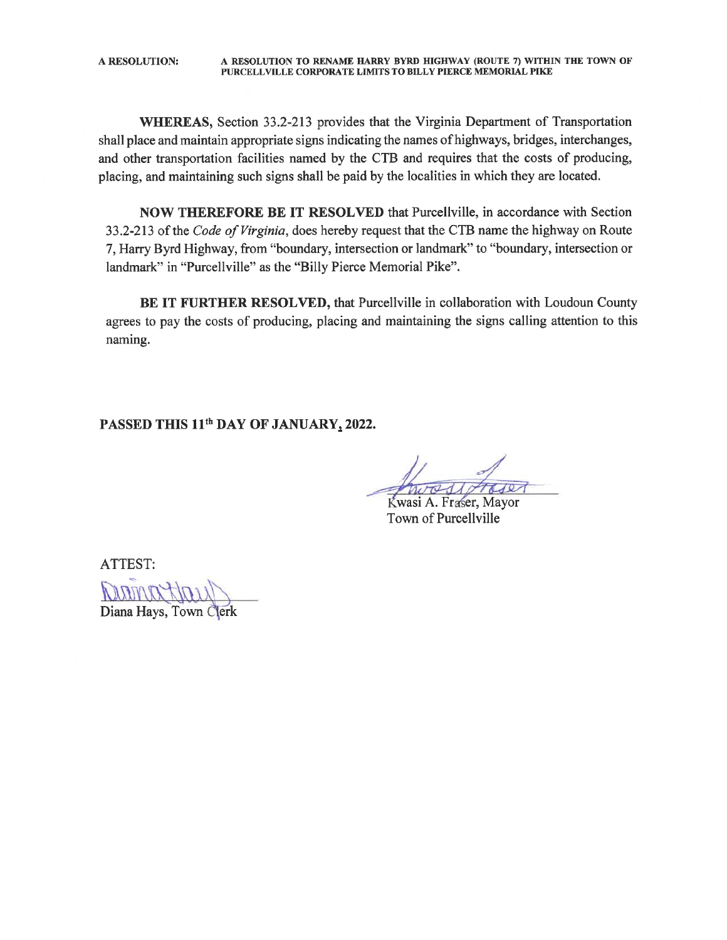A RESOLUTION TO RENAME HARRY BYRD HIGHWAY (ROUTE 7) WITHIN THE TOWN OF **A RESOLUTION:** PURCELLVILLE CORPORATE LIMITS TO BILLY PIERCE MEMORIAL PIKE

WHEREAS, Section 33.2-213 provides that the Virginia Department of Transportation shall place and maintain appropriate signs indicating the names of highways, bridges, interchanges, and other transportation facilities named by the CTB and requires that the costs of producing, placing, and maintaining such signs shall be paid by the localities in which they are located.

NOW THEREFORE BE IT RESOLVED that Purcellville, in accordance with Section 33.2-213 of the Code of Virginia, does hereby request that the CTB name the highway on Route 7, Harry Byrd Highway, from "boundary, intersection or landmark" to "boundary, intersection or landmark" in "Purcellville" as the "Billy Pierce Memorial Pike".

BE IT FURTHER RESOLVED, that Purcellville in collaboration with Loudoun County agrees to pay the costs of producing, placing and maintaining the signs calling attention to this naming.

PASSED THIS 11<sup>th</sup> DAY OF JANUARY, 2022.

Kwasi A. Fraser, Mayor Town of Purcellyille

ATTEST:

Diana Hays, Town C